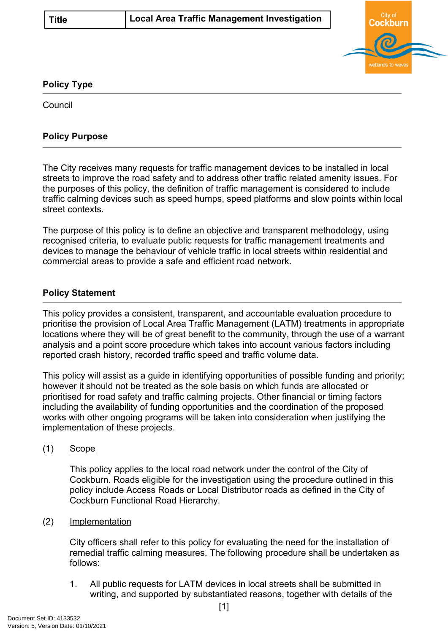

## **Policy Type**

Council

## **Policy Purpose**

The City receives many requests for traffic management devices to be installed in local streets to improve the road safety and to address other traffic related amenity issues. For the purposes of this policy, the definition of traffic management is considered to include traffic calming devices such as speed humps, speed platforms and slow points within local street contexts.

The purpose of this policy is to define an objective and transparent methodology, using recognised criteria, to evaluate public requests for traffic management treatments and devices to manage the behaviour of vehicle traffic in local streets within residential and commercial areas to provide a safe and efficient road network.

## **[Policy Statement](#page-0-0)**

<span id="page-0-0"></span>This policy provides a consistent, transparent, and accountable evaluation procedure to prioritise the provision of Local Area Traffic Management (LATM) treatments in appropriate locations where they will be of great benefit to the community, through the use of a warrant analysis and a point score procedure which takes into account various factors including reported crash history, recorded traffic speed and traffic volume data.

This policy will assist as a guide in identifying opportunities of possible funding and priority; however it should not be treated as the sole basis on which funds are allocated or prioritised for road safety and traffic calming projects. Other financial or timing factors including the availability of funding opportunities and the coordination of the proposed works with other ongoing programs will be taken into consideration when justifying the implementation of these projects.

(1) Scope

This policy applies to the local road network under the control of the City of Cockburn. Roads eligible for the investigation using the procedure outlined in this policy include Access Roads or Local Distributor roads as defined in the City of Cockburn Functional Road Hierarchy.

(2) Implementation

City officers shall refer to this policy for evaluating the need for the installation of remedial traffic calming measures. The following procedure shall be undertaken as follows:

1. All public requests for LATM devices in local streets shall be submitted in writing, and supported by substantiated reasons, together with details of the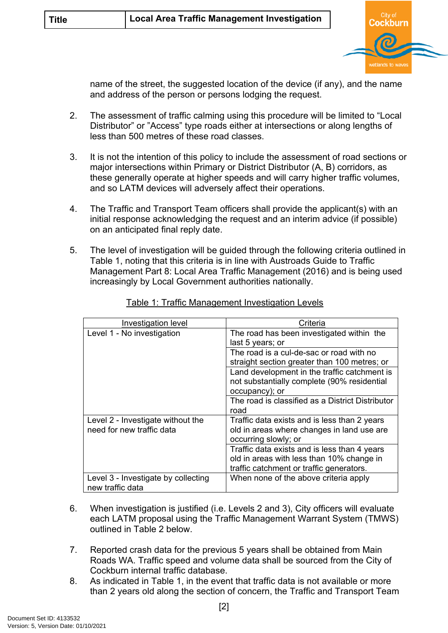

name of the street, the suggested location of the device (if any), and the name and address of the person or persons lodging the request.

- 2. The assessment of traffic calming using this procedure will be limited to "Local Distributor" or "Access" type roads either at intersections or along lengths of less than 500 metres of these road classes.
- 3. It is not the intention of this policy to include the assessment of road sections or major intersections within Primary or District Distributor (A, B) corridors, as these generally operate at higher speeds and will carry higher traffic volumes, and so LATM devices will adversely affect their operations.
- 4. The Traffic and Transport Team officers shall provide the applicant(s) with an initial response acknowledging the request and an interim advice (if possible) on an anticipated final reply date.
- 5. The level of investigation will be guided through the following criteria outlined in Table 1, noting that this criteria is in line with Austroads Guide to Traffic Management Part 8: Local Area Traffic Management (2016) and is being used increasingly by Local Government authorities nationally.

| Investigation level                 | Criteria                                         |
|-------------------------------------|--------------------------------------------------|
| Level 1 - No investigation          | The road has been investigated within the        |
|                                     | last 5 years; or                                 |
|                                     | The road is a cul-de-sac or road with no         |
|                                     | straight section greater than 100 metres; or     |
|                                     | Land development in the traffic catchment is     |
|                                     | not substantially complete (90% residential      |
|                                     | occupancy); or                                   |
|                                     | The road is classified as a District Distributor |
|                                     | road                                             |
| Level 2 - Investigate without the   | Traffic data exists and is less than 2 years     |
| need for new traffic data           | old in areas where changes in land use are       |
|                                     | occurring slowly; or                             |
|                                     | Traffic data exists and is less than 4 years     |
|                                     | old in areas with less than 10% change in        |
|                                     | traffic catchment or traffic generators.         |
| Level 3 - Investigate by collecting | When none of the above criteria apply            |
| new traffic data                    |                                                  |

Table 1: Traffic Management Investigation Levels

- 6. When investigation is justified (i.e. Levels 2 and 3), City officers will evaluate each LATM proposal using the Traffic Management Warrant System (TMWS) outlined in Table 2 below.
- 7. Reported crash data for the previous 5 years shall be obtained from Main Roads WA. Traffic speed and volume data shall be sourced from the City of Cockburn internal traffic database.
- 8. As indicated in Table 1, in the event that traffic data is not available or more than 2 years old along the section of concern, the Traffic and Transport Team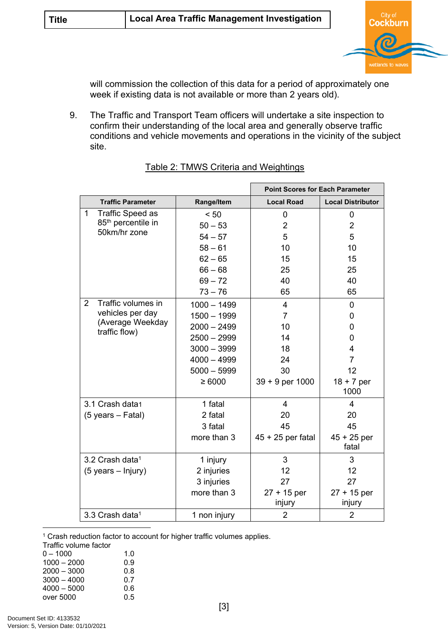

will commission the collection of this data for a period of approximately one week if existing data is not available or more than 2 years old).

9. The Traffic and Transport Team officers will undertake a site inspection to confirm their understanding of the local area and generally observe traffic conditions and vehicle movements and operations in the vicinity of the subject site.

|                                      |               | <b>Point Scores for Each Parameter</b> |                          |
|--------------------------------------|---------------|----------------------------------------|--------------------------|
| <b>Traffic Parameter</b>             | Range/Item    | <b>Local Road</b>                      | <b>Local Distributor</b> |
| <b>Traffic Speed as</b><br>1         | < 50          | $\mathbf 0$                            | 0                        |
| 85 <sup>th</sup> percentile in       | $50 - 53$     | $\overline{2}$                         | $\overline{2}$           |
| 50km/hr zone                         | $54 - 57$     | 5                                      | 5                        |
|                                      | $58 - 61$     | 10                                     | 10                       |
|                                      | $62 - 65$     | 15                                     | 15                       |
|                                      | $66 - 68$     | 25                                     | 25                       |
|                                      | $69 - 72$     | 40                                     | 40                       |
|                                      | $73 - 76$     | 65                                     | 65                       |
| $\overline{2}$<br>Traffic volumes in | $1000 - 1499$ | 4                                      | 0                        |
| vehicles per day                     | $1500 - 1999$ | $\overline{7}$                         | 0                        |
| (Average Weekday<br>traffic flow)    | $2000 - 2499$ | 10                                     | 0                        |
|                                      | $2500 - 2999$ | 14                                     | 0                        |
|                                      | $3000 - 3999$ | 18                                     | 4                        |
|                                      | $4000 - 4999$ | 24                                     | $\overline{7}$           |
|                                      | $5000 - 5999$ | 30                                     | 12                       |
|                                      | $\geq 6000$   | $39 + 9$ per 1000                      | $18 + 7$ per<br>1000     |
| 3.1 Crash data1                      | 1 fatal       | $\overline{4}$                         | 4                        |
| $(5 \text{ years} - \text{Fatal})$   | 2 fatal       | 20                                     | 20                       |
|                                      | 3 fatal       | 45                                     | 45                       |
|                                      | more than 3   | $45 + 25$ per fatal                    | $45 + 25$ per<br>fatal   |
| 3.2 Crash data <sup>1</sup>          | 1 injury      | 3                                      | 3                        |
| $(5 \text{ years} - \text{Injury})$  | 2 injuries    | 12                                     | 12                       |
|                                      | 3 injuries    | 27                                     | 27                       |
|                                      | more than 3   | $27 + 15$ per                          | $27 + 15$ per            |
|                                      |               | injury                                 | injury                   |
| 3.3 Crash data <sup>1</sup>          | 1 non injury  | $\overline{2}$                         | $\overline{2}$           |

| Table 2: TMWS Criteria and Weightings |  |  |  |
|---------------------------------------|--|--|--|
|                                       |  |  |  |

<sup>1</sup> Crash reduction factor to account for higher traffic volumes applies.

Traffic volume factor

| $0 - 1000$    | 1.0 |
|---------------|-----|
| $1000 - 2000$ | 0.9 |
| $2000 - 3000$ | 0.8 |
| $3000 - 4000$ | 0.7 |
| $4000 - 5000$ | 0.6 |
| over 5000     | ი 5 |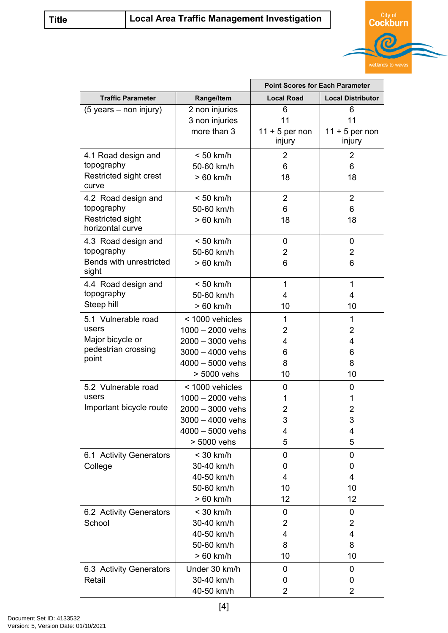

|                                             |                         | <b>Point Scores for Each Parameter</b> |                          |  |
|---------------------------------------------|-------------------------|----------------------------------------|--------------------------|--|
| <b>Traffic Parameter</b>                    | Range/Item              | <b>Local Road</b>                      | <b>Local Distributor</b> |  |
| (5 years – non injury)                      | 2 non injuries          | 6                                      | 6                        |  |
|                                             | 3 non injuries          | 11                                     | 11                       |  |
|                                             | more than 3             | $11 + 5$ per non                       | $11 + 5$ per non         |  |
|                                             |                         | injury                                 | injury                   |  |
| 4.1 Road design and                         | $< 50$ km/h             | $\overline{2}$                         | 2                        |  |
| topography                                  | 50-60 km/h              | 6                                      | 6                        |  |
| Restricted sight crest<br>curve             | $>60$ km/h              | 18                                     | 18                       |  |
| 4.2 Road design and                         | $< 50$ km/h             | $\overline{2}$                         | $\overline{2}$           |  |
| topography                                  | 50-60 km/h              | 6                                      | 6                        |  |
| <b>Restricted sight</b><br>horizontal curve | $>60$ km/h              | 18                                     | 18                       |  |
| 4.3 Road design and                         | $< 50$ km/h             | 0                                      | 0                        |  |
| topography                                  | 50-60 km/h              | $\overline{2}$                         | $\overline{2}$           |  |
| Bends with unrestricted<br>sight            | > 60 km/h               | 6                                      | 6                        |  |
| 4.4 Road design and                         | $< 50$ km/h             | $\mathbf{1}$                           | 1                        |  |
| topography                                  | 50-60 km/h              | 4                                      | 4                        |  |
| Steep hill                                  | $>60$ km/h              | 10                                     | 10                       |  |
| 5.1 Vulnerable road                         | < 1000 vehicles         | $\mathbf{1}$                           | $\mathbf{1}$             |  |
| users                                       | $1000 - 2000$ vehs      | 2                                      | $\overline{2}$           |  |
| Major bicycle or                            | 2000 - 3000 vehs        | 4                                      | 4                        |  |
| pedestrian crossing<br>point                | $3000 - 4000$ vehs      | 6                                      | 6                        |  |
|                                             | $4000 - 5000$ vehs      | 8                                      | 8                        |  |
|                                             | > 5000 vehs             | 10                                     | 10                       |  |
| 5.2 Vulnerable road                         | < 1000 vehicles         | 0                                      | 0                        |  |
| users                                       | $1000 - 2000$ vehs      | 1                                      | 1                        |  |
| Important bicycle route                     | 2000 - 3000 vehs        | 2                                      | $\overline{2}$           |  |
|                                             | 3000 - 4000 vehs        | 3                                      | 3                        |  |
|                                             | $4000 - 5000$ vehs      | 4                                      | 4                        |  |
|                                             | > 5000 vehs             | 5                                      | 5                        |  |
| 6.1 Activity Generators                     | $<$ 30 km/h             | 0                                      | 0                        |  |
| College                                     | 30-40 km/h              | 0                                      | 0                        |  |
|                                             | 40-50 km/h              | 4                                      | 4                        |  |
|                                             | 50-60 km/h              | 10                                     | 10                       |  |
|                                             | > 60 km/h               | 12                                     | 12                       |  |
| 6.2 Activity Generators                     | $<$ 30 km/h             | 0                                      | 0                        |  |
| School                                      | 30-40 km/h              | $\overline{2}$                         | 2                        |  |
|                                             | 40-50 km/h              | 4                                      | 4                        |  |
|                                             | 50-60 km/h<br>> 60 km/h | 8<br>10                                | 8<br>10                  |  |
|                                             |                         |                                        |                          |  |
| 6.3 Activity Generators                     | Under 30 km/h           | 0                                      | 0                        |  |
| Retail                                      | 30-40 km/h              | 0                                      | 0                        |  |
|                                             | 40-50 km/h              | 2                                      | 2                        |  |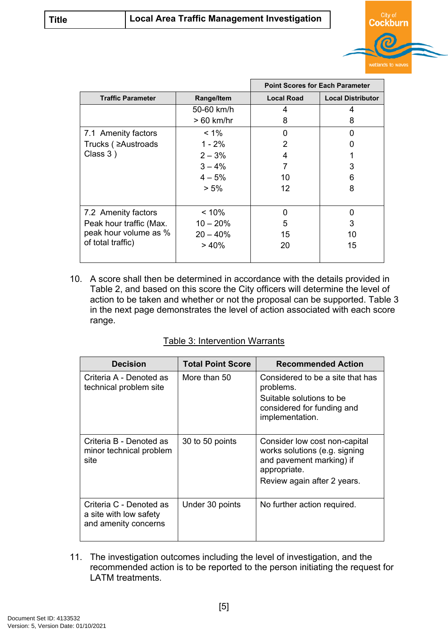

|                          |             | <b>Point Scores for Each Parameter</b> |                          |  |
|--------------------------|-------------|----------------------------------------|--------------------------|--|
| <b>Traffic Parameter</b> | Range/Item  | <b>Local Road</b>                      | <b>Local Distributor</b> |  |
|                          | 50-60 km/h  | 4                                      | 4                        |  |
|                          | $>60$ km/hr | 8                                      | 8                        |  |
| 7.1 Amenity factors      | $< 1\%$     | 0                                      | O                        |  |
| Trucks ( ≥Austroads      | $1 - 2%$    | $\mathcal{P}$                          |                          |  |
| Class $3)$               | $2 - 3%$    | 4                                      |                          |  |
|                          | $3 - 4%$    | 7                                      | 3                        |  |
|                          | $4 - 5%$    | 10                                     | 6                        |  |
|                          | $> 5\%$     | 12                                     | 8                        |  |
|                          |             |                                        |                          |  |
| 7.2 Amenity factors      | $< 10\%$    | 0                                      | 0                        |  |
| Peak hour traffic (Max.  | $10 - 20%$  | 5                                      | 3                        |  |
| peak hour volume as %    | $20 - 40%$  | 15                                     | 10                       |  |
| of total traffic)        | $>40\%$     | 20                                     | 15                       |  |
|                          |             |                                        |                          |  |

10. A score shall then be determined in accordance with the details provided in Table 2, and based on this score the City officers will determine the level of action to be taken and whether or not the proposal can be supported. Table 3 in the next page demonstrates the level of action associated with each score range.

## Table 3: Intervention Warrants

| <b>Decision</b>                                                           | <b>Total Point Score</b> | <b>Recommended Action</b>                                                                                                                 |
|---------------------------------------------------------------------------|--------------------------|-------------------------------------------------------------------------------------------------------------------------------------------|
| Criteria A - Denoted as<br>technical problem site                         | More than 50             | Considered to be a site that has<br>problems.<br>Suitable solutions to be<br>considered for funding and<br>implementation.                |
| Criteria B - Denoted as<br>minor technical problem<br>site                | 30 to 50 points          | Consider low cost non-capital<br>works solutions (e.g. signing<br>and pavement marking) if<br>appropriate.<br>Review again after 2 years. |
| Criteria C - Denoted as<br>a site with low safety<br>and amenity concerns | Under 30 points          | No further action required.                                                                                                               |

11. The investigation outcomes including the level of investigation, and the recommended action is to be reported to the person initiating the request for LATM treatments.